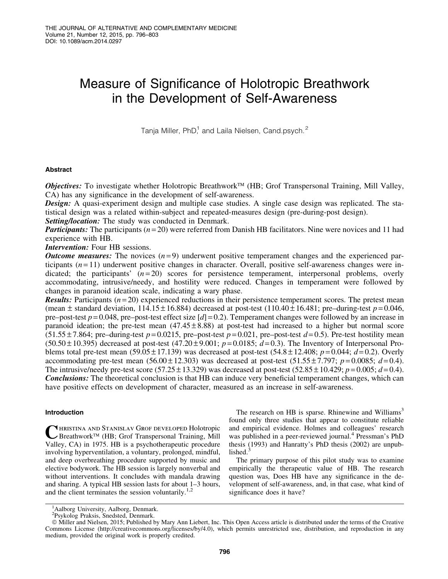# Measure of Significance of Holotropic Breathwork in the Development of Self-Awareness

Tanja Miller, PhD,<sup>1</sup> and Laila Nielsen, Cand.psych.<sup>2</sup>

# Abstract

Objectives: To investigate whether Holotropic Breathwork™ (HB; Grof Transpersonal Training, Mill Valley, CA) has any significance in the development of self-awareness.

**Design:** A quasi-experiment design and multiple case studies. A single case design was replicated. The statistical design was a related within-subject and repeated-measures design (pre-during-post design).

Setting/location: The study was conducted in Denmark.

**Participants:** The participants ( $n = 20$ ) were referred from Danish HB facilitators. Nine were novices and 11 had experience with HB.

Intervention: Four HB sessions.

**Outcome measures:** The novices  $(n=9)$  underwent positive temperament changes and the experienced participants (*n* = 11) underwent positive changes in character. Overall, positive self-awareness changes were indicated; the participants'  $(n=20)$  scores for persistence temperament, interpersonal problems, overly accommodating, intrusive/needy, and hostility were reduced. Changes in temperament were followed by changes in paranoid ideation scale, indicating a wary phase.

**Results:** Participants  $(n=20)$  experienced reductions in their persistence temperament scores. The pretest mean (mean  $\pm$  standard deviation,  $114.15 \pm 16.884$ ) decreased at post-test (110.40  $\pm$  16.481; pre–during-test  $p = 0.046$ , pre–post-test *p* = 0.048, pre–post-test effect size [*d*] = 0.2). Temperament changes were followed by an increase in paranoid ideation; the pre-test mean  $(47.45 \pm 8.88)$  at post-test had increased to a higher but normal score  $(51.55 \pm 7.864)$ ; pre–during-test  $p=0.0215$ , pre–post-test  $p=0.021$ , pre–post-test  $d=0.5$ ). Pre-test hostility mean  $(50.50 \pm 10.395)$  decreased at post-test  $(47.20 \pm 9.001; p = 0.0185; d = 0.3)$ . The Inventory of Interpersonal Problems total pre-test mean  $(59.05 \pm 17.139)$  was decreased at post-test  $(54.8 \pm 12.408; p = 0.044; d = 0.2)$ . Overly accommodating pre-test mean (56.00 $\pm$ 12.303) was decreased at post-test (51.55 $\pm$ 7.797; *p*=0.0085; *d*=0.4). The intrusive/needy pre-test score (57.25  $\pm$  13.329) was decreased at post-test (52.85  $\pm$  10.429; *p* = 0.005; *d* = 0.4). Conclusions: The theoretical conclusion is that HB can induce very beneficial temperament changes, which can have positive effects on development of character, measured as an increase in self-awareness.

# Introduction

CHRISTINA AND STANISLAV GROF DEVELOPED Holotropic<br>
Breathwork<sup>TM</sup> (HB; Grof Transpersonal Training, Mill Valley, CA) in 1975. HB is a psychotherapeutic procedure involving hyperventilation, a voluntary, prolonged, mindful, and deep overbreathing procedure supported by music and elective bodywork. The HB session is largely nonverbal and without interventions. It concludes with mandala drawing and sharing. A typical HB session lasts for about 1–3 hours, and the client terminates the session voluntarily.<sup>1,2</sup>

The research on HB is sparse. Rhinewine and Williams<sup>3</sup> found only three studies that appear to constitute reliable and empirical evidence. Holmes and colleagues' research was published in a peer-reviewed journal.<sup>4</sup> Pressman's PhD thesis (1993) and Hanratty's PhD thesis (2002) are unpublished.

The primary purpose of this pilot study was to examine empirically the therapeutic value of HB. The research question was, Does HB have any significance in the development of self-awareness, and, in that case, what kind of significance does it have?

<sup>&</sup>lt;sup>1</sup>Aalborg University, Aalborg, Denmark.

<sup>2</sup> Psykolog Praksis, Snedsted, Denmark.

ª Miller and Nielsen, 2015; Published by Mary Ann Liebert, Inc. This Open Access article is distributed under the terms of the Creative Commons License (http://creativecommons.org/licenses/by/4.0), which permits unrestricted use, distribution, and reproduction in any medium, provided the original work is properly credited.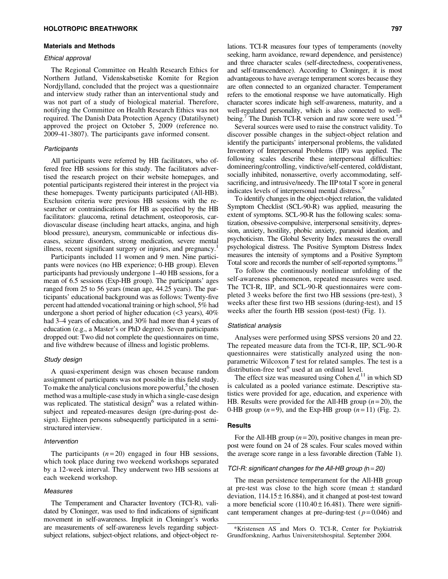#### Materials and Methods

# Ethical approval

The Regional Committee on Health Research Ethics for Northern Jutland, Videnskabsetiske Komite for Region Nordjylland, concluded that the project was a questionnaire and interview study rather than an interventional study and was not part of a study of biological material. Therefore, notifying the Committee on Health Research Ethics was not required. The Danish Data Protection Agency (Datatilsynet) approved the project on October 5, 2009 (reference no. 2009-41-3807). The participants gave informed consent.

#### **Participants**

All participants were referred by HB facilitators, who offered free HB sessions for this study. The facilitators advertised the research project on their website homepages, and potential participants registered their interest in the project via these homepages. Twenty participants participated (All-HB). Exclusion criteria were previous HB sessions with the researcher or contraindications for HB as specified by the HB facilitators: glaucoma, retinal detachment, osteoporosis, cardiovascular disease (including heart attacks, angina, and high blood pressure), aneurysm, communicable or infectious diseases, seizure disorders, strong medication, severe mental illness, recent significant surgery or injuries, and pregnancy.<sup>1</sup>

Participants included 11 women and 9 men. Nine participants were novices (no HB experience; 0-HB group). Eleven participants had previously undergone 1–40 HB sessions, for a mean of 6.5 sessions (Exp-HB group). The participants' ages ranged from 25 to 56 years (mean age, 44.25 years). The participants' educational background was as follows: Twenty-five percent had attended vocational training or high school, 5% had undergone a short period of higher education  $\approx$  3 years), 40% had 3–4 years of education, and 30% had more than 4 years of education (e.g., a Master's or PhD degree). Seven participants dropped out: Two did not complete the questionnaires on time, and five withdrew because of illness and logistic problems.

#### Study design

A quasi-experiment design was chosen because random assignment of participants was not possible in this field study. To make the analytical conclusions more powerful,<sup>5</sup> the chosen method was a multiple-case study in which a single-case design was replicated. The statistical design<sup>6</sup> was a related withinsubject and repeated-measures design (pre-during-post design). Eighteen persons subsequently participated in a semistructured interview.

#### Intervention

The participants  $(n=20)$  engaged in four HB sessions, which took place during two weekend workshops separated by a 12-week interval. They underwent two HB sessions at each weekend workshop.

#### Measures

The Temperament and Character Inventory (TCI-R), validated by Cloninger, was used to find indications of significant movement in self-awareness. Implicit in Cloninger's works are measurements of self-awareness levels regarding subjectsubject relations, subject-object relations, and object-object relations. TCI-R measures four types of temperaments (novelty seeking, harm avoidance, reward dependence, and persistence) and three character scales (self-directedness, cooperativeness, and self-transcendence). According to Cloninger, it is most advantageous to have average temperament scores because they are often connected to an organized character. Temperament refers to the emotional response we have automatically. High character scores indicate high self-awareness, maturity, and a well-regulated personality, which is also connected to wellbeing.<sup>7</sup> The Danish TCI-R version and raw score were used.\*,8

Several sources were used to raise the construct validity. To discover possible changes in the subject-object relation and identify the participants' interpersonal problems, the validated Inventory of Interpersonal Problems (IIP) was applied. The following scales describe these interpersonal difficulties: domineering/controlling, vindictive/self-centered, cold/distant, socially inhibited, nonassertive, overly accommodating, selfsacrificing, and intrusive/needy. The IIP total T score in general indicates levels of interpersonal mental distress.<sup>9</sup>

To identify changes in the object-object relation, the validated Symptom Checklist (SCL-90-R) was applied, measuring the extent of symptoms. SCL-90-R has the following scales: somatization, obsessive-compulsive, interpersonal sensitivity, depression, anxiety, hostility, phobic anxiety, paranoid ideation, and psychoticism. The Global Severity Index measures the overall psychological distress. The Positive Symptom Distress Index measures the intensity of symptoms and a Positive Symptom Total score and records the number of self-reported symptoms.<sup>10</sup>

To follow the continuously nonlinear unfolding of the self-awareness phenomenon, repeated measures were used. The TCI-R, IIP, and SCL-90-R questionnaires were completed 3 weeks before the first two HB sessions (pre-test), 3 weeks after these first two HB sessions (during-test), and 15 weeks after the fourth HB session (post-test) (Fig. 1).

#### Statistical analysis

Analyses were performed using SPSS versions 20 and 22. The repeated measure data from the TCI-R, IIP, SCL-90-R questionnaires were statistically analyzed using the nonparametric Wilcoxon *T* test for related samples. The test is a distribution-free test $<sup>6</sup>$  used at an ordinal level.</sup>

The effect size was measured using Cohen  $d<sub>i</sub>$ <sup>11</sup> in which SD is calculated as a pooled variance estimate. Descriptive statistics were provided for age, education, and experience with HB. Results were provided for the All-HB group  $(n=20)$ , the 0-HB group  $(n=9)$ , and the Exp-HB group  $(n=11)$  (Fig. 2).

#### Results

For the All-HB group  $(n=20)$ , positive changes in mean prepost were found on 24 of 28 scales. Four scales moved within the average score range in a less favorable direction (Table 1).

#### TCI-R: significant changes for the All-HB group ( $n = 20$ )

The mean persistence temperament for the All-HB group at pre-test was close to the high score (mean  $\pm$  standard deviation,  $114.15 \pm 16.884$ ), and it changed at post-test toward a more beneficial score  $(110.40 \pm 16.481)$ . There were significant temperament changes at pre–during-test  $(p=0.046)$  and

<sup>\*</sup>Kristensen AS and Mors O. TCI-R, Center for Psykiatrisk Grundforskning, Aarhus Universitetshospital. September 2004.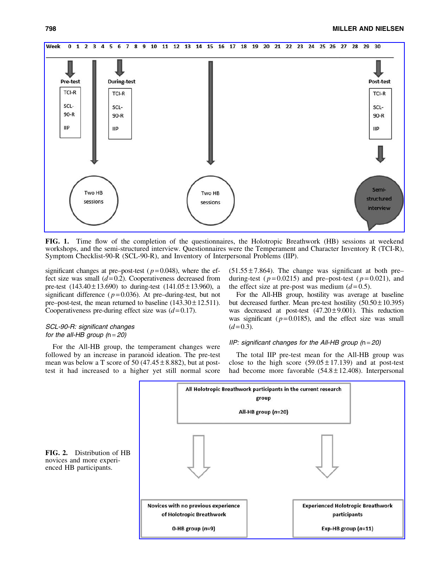

FIG. 1. Time flow of the completion of the questionnaires, the Holotropic Breathwork (HB) sessions at weekend workshops, and the semi-structured interview. Questionnaires were the Temperament and Character Inventory R (TCI-R), Symptom Checklist-90-R (SCL-90-R), and Inventory of Interpersonal Problems (IIP).

significant changes at pre–post-test ( $p=0.048$ ), where the effect size was small  $(d=0.2)$ . Cooperativeness decreased from pre-test  $(143.40 \pm 13.690)$  to during-test  $(141.05 \pm 13.960)$ , a significant difference ( $p = 0.036$ ). At pre–during-test, but not pre–post-test, the mean returned to baseline  $(143.30 \pm 12.511)$ . Cooperativeness pre-during effect size was  $(d=0.17)$ .

# SCL-90-R: significant changes for the all-HB group  $(n = 20)$

For the All-HB group, the temperament changes were followed by an increase in paranoid ideation. The pre-test mean was below a T score of 50 (47.45  $\pm$  8.882), but at posttest it had increased to a higher yet still normal score  $(51.55 \pm 7.864)$ . The change was significant at both pre– during-test ( $p=0.0215$ ) and pre–post-test ( $p=0.021$ ), and the effect size at pre-post was medium  $(d=0.5)$ .

For the All-HB group, hostility was average at baseline but decreased further. Mean pre-test hostility  $(50.50 \pm 10.395)$ was decreased at post-test  $(47.20 \pm 9.001)$ . This reduction was significant ( $p=0.0185$ ), and the effect size was small  $(d=0.3)$ .

# IIP: significant changes for the All-HB group  $(n = 20)$

The total IIP pre-test mean for the All-HB group was close to the high score  $(59.05 \pm 17.139)$  and at post-test had become more favorable  $(54.8 \pm 12.408)$ . Interpersonal

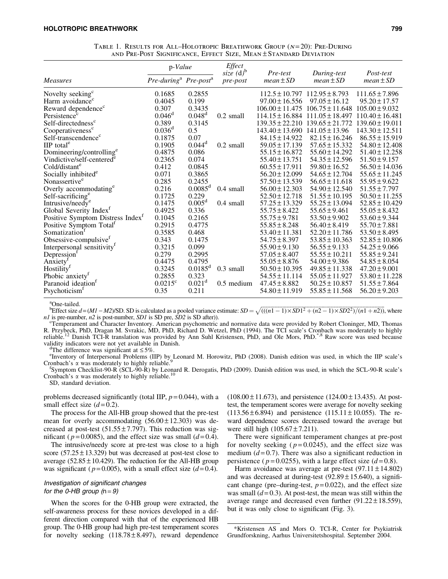## HOLOTROPIC BREATHWORK 799

| p-Value |                                            | Effect                                                                                                                                                       |                     |                     | Post-test                         |
|---------|--------------------------------------------|--------------------------------------------------------------------------------------------------------------------------------------------------------------|---------------------|---------------------|-----------------------------------|
|         |                                            | pre-post                                                                                                                                                     | $mean \pm SD$       | $mean \pm SD$       | $mean \pm SD$                     |
| 0.1685  | 0.2855                                     |                                                                                                                                                              | $112.5 \pm 10.797$  |                     | $111.65 \pm 7.896$                |
| 0.4045  | 0.199                                      |                                                                                                                                                              | $97.00 \pm 16.556$  | $97.05 \pm 16.12$   | $95.20 \pm 17.57$                 |
| 0.307   | 0.3435                                     |                                                                                                                                                              | $106.00 \pm 11.475$ | $106.75 \pm 11.648$ | $105.00 \pm 9.032$                |
|         |                                            | $0.2 \text{ small}$                                                                                                                                          | $114.15 \pm 16.884$ | $111.05 \pm 18.497$ | $110.40 \pm 16.481$               |
| 0.389   | 0.3145                                     |                                                                                                                                                              | $139.35 \pm 22.210$ | $139.65 \pm 21.772$ | $139.60 \pm 19.011$               |
|         | 0.5                                        |                                                                                                                                                              | $143.40 \pm 13.690$ | $141.05 \pm 13.96$  | $143.30 \pm 12.511$               |
| 0.1875  | 0.07                                       |                                                                                                                                                              | $84.15 \pm 14.922$  | $82.15 \pm 16.246$  | $86.55 \pm 15.919$                |
| 0.1905  |                                            | $0.2 \text{ small}$                                                                                                                                          | $59.05 \pm 17.139$  | $57.65 \pm 15.332$  | $54.80 \pm 12.408$                |
| 0.4875  | 0.086                                      |                                                                                                                                                              | $55.15 \pm 16.872$  | $55.60 \pm 14.292$  | $51.40 \pm 12.258$                |
| 0.2365  | 0.074                                      |                                                                                                                                                              | $55.40 \pm 13.751$  | $54.35 \pm 12.596$  | $51.50 \pm 9.157$                 |
| 0.412   | 0.0845                                     |                                                                                                                                                              | $60.55 \pm 17.911$  | $59.80 \pm 16.52$   | $56.50 \pm 14.036$                |
| 0.071   | 0.3865                                     |                                                                                                                                                              | $56.20 \pm 12.099$  | $54.65 \pm 12.704$  | $55.65 \pm 11.245$                |
| 0.285   | 0.2455                                     |                                                                                                                                                              | $57.50 \pm 13.539$  | $56.65 \pm 11.618$  | $55.95 \pm 9.622$                 |
| 0.216   |                                            | $0.4 \text{ small}$                                                                                                                                          | $56.00 \pm 12.303$  | $54.90 \pm 12.540$  | $51.55 \pm 7.797$                 |
| 0.1725  | 0.229                                      |                                                                                                                                                              | $52.50 \pm 12.718$  | $51.55 \pm 10.195$  | $50.50 \pm 11.255$                |
| 0.1475  |                                            | 0.4 small                                                                                                                                                    | $57.25 \pm 13.329$  | $55.25 \pm 13.094$  | $52.85 \pm 10.429$                |
| 0.4925  | 0.336                                      |                                                                                                                                                              | $55.75 \pm 8.422$   | $55.65 \pm 9.461$   | $55.05 \pm 8.432$                 |
| 0.1045  | 0.2165                                     |                                                                                                                                                              | $55.75 \pm 9.781$   | $53.50 \pm 9.902$   | $53.60 \pm 9.344$                 |
| 0.2915  | 0.4775                                     |                                                                                                                                                              | $55.85 \pm 8.248$   | $56.40 \pm 8.419$   | $55.70 \pm 7.881$                 |
| 0.3585  | 0.468                                      |                                                                                                                                                              | $53.40 \pm 11.381$  | $52.20 \pm 11.786$  | $53.50 \pm 8.495$                 |
| 0.343   | 0.1475                                     |                                                                                                                                                              | $54.75 \pm 8.397$   | $53.85 \pm 10.363$  | $52.85 \pm 10.806$                |
| 0.3215  | 0.099                                      |                                                                                                                                                              | 55.90±9.130         | $56.55 \pm 9.133$   | $54.25 \pm 9.066$                 |
| 0.279   | 0.2995                                     |                                                                                                                                                              | $57.05 \pm 8.407$   | $55.55 \pm 10.211$  | $55.85 \pm 9.241$                 |
| 0.4475  | 0.4795                                     |                                                                                                                                                              | $55.05 \pm 8.876$   | $54.00 \pm 9.386$   | $54.85 \pm 8.054$                 |
| 0.3245  |                                            | $0.3 \text{ small}$                                                                                                                                          | $50.50 \pm 10.395$  | $49.85 \pm 11.338$  | $47.20 \pm 9.001$                 |
| 0.2855  | 0.323                                      |                                                                                                                                                              | $54.55 \pm 11.114$  | $55.05 \pm 11.927$  | $53.80 \pm 11.228$                |
|         |                                            | $0.5$ medium                                                                                                                                                 | $47.45 \pm 8.882$   | $50.25 \pm 10.857$  | $51.55 \pm 7.864$                 |
| 0.35    | 0.211                                      |                                                                                                                                                              | $54.80 \pm 11.919$  | $55.85 \pm 11.568$  | $56.20 \pm 9.203$                 |
|         | $0.046^d$<br>$0.036^d$<br>$0.0215^{\circ}$ | Pre-during <sup>a</sup> Pre-post <sup>a</sup><br>$0.048^d$<br>$0.044$ <sup>d</sup><br>$0.0085^d$<br>0.005 <sup>d</sup><br>$0.0185^d$<br>$0.021$ <sup>d</sup> | size $(d)^b$        | Pre-test            | During-test<br>$112.95 \pm 8.793$ |

TABLE 1. RESULTS FOR ALL-HOLOTROPIC BREATHWORK GROUP  $(N=20)$ : Pre-During and Pre-Post Significance, Effect Size, Mean – Standard Deviation

<sup>a</sup>One-tailed.

One-tatied.<br>  ${}^{b}$ Effect size  $d = (M1 - M2)/SD$ . SD is calculated as a pooled variance estimate:  $SD = \sqrt{((n1 - 1) \times SD1^2 + (n2 - 1) \times SD2^2)/(n1 + n2)})}$ , where  $n1$  is pre-number,  $n2$  is post-number, *SD1* is SD pre, *SD2* is SD after)).

Temperament and Character Inventory. American psychometric and normative data were provided by Robert Cloninger, MD, Thomas R. Przybeck, PhD, Dragan M. Svrakic, MD, PhD, Richard D. Wetzel, PhD (1994). The TCI scale's Cronbach was moderately to highly reliable.<sup>12</sup> Danish TCI-R translation was provided by Ann Suhl Kristensen, PhD, and Ole Mors, PhD.<sup>\*,8</sup> Raw score was used because validity indicators were not yet available in Danish.

The difference was significant at  $\leq 5\%$ .

<sup>e</sup>Inventory of Interpersonal Problems (IIP) by Leonard M. Horowitz, PhD (2008). Danish edition was used, in which the IIP scale's Cronbach's  $\alpha$  was moderately to highly reliable.<sup>9</sup>

f Symptom Checklist-90-R (SCL-90-R) by Leonard R. Derogatis, PhD (2009). Danish edition was used, in which the SCL-90-R scale's Cronbach's  $\alpha$  was moderately to highly reliable.<sup>10</sup>

SD, standard deviation.

problems decreased significantly (total IIP, *p* = 0.044), with a small effect size  $(d=0.2)$ .

The process for the All-HB group showed that the pre-test mean for overly accommodating  $(56.00 \pm 12.303)$  was decreased at post-test  $(51.55 \pm 7.797)$ . This reduction was significant ( $p = 0.0085$ ), and the effect size was small ( $d = 0.4$ ).

The intrusive/needy score at pre-test was close to a high score  $(57.25 \pm 13.329)$  but was decreased at post-test close to average  $(52.85 \pm 10.429)$ . The reduction for the All-HB group was significant ( $p = 0.005$ ), with a small effect size ( $d = 0.4$ ).

# Investigation of significant changes for the 0-HB group  $(n = 9)$

When the scores for the 0-HB group were extracted, the self-awareness process for these novices developed in a different direction compared with that of the experienced HB group. The 0-HB group had high pre-test temperament scores for novelty seeking  $(118.78 \pm 8.497)$ , reward dependence  $(108.00 \pm 11.673)$ , and persistence  $(124.00 \pm 13.435)$ . At posttest, the temperament scores were average for novelty seeking  $(113.56 \pm 6.894)$  and persistence  $(115.11 \pm 10.055)$ . The reward dependence scores decreased toward the average but were still high  $(105.67 \pm 7.211)$ .

There were significant temperament changes at pre-post for novelty seeking  $(p=0.0245)$ , and the effect size was medium  $(d=0.7)$ . There was also a significant reduction in persistence ( $p = 0.0255$ ), with a large effect size ( $d = 0.8$ ).

Harm avoidance was average at pre-test  $(97.11 \pm 14.802)$ and was decreased at during-test  $(92.89 \pm 15.640)$ , a significant change (pre–during-test,  $p=0.022$ ), and the effect size was small  $(d=0.3)$ . At post-test, the mean was still within the average range and decreased even further  $(91.22 \pm 18.559)$ , but it was only close to significant (Fig. 3).

<sup>\*</sup>Kristensen AS and Mors O. TCI-R, Center for Psykiatrisk Grundforskning, Aarhus Universitetshospital. September 2004.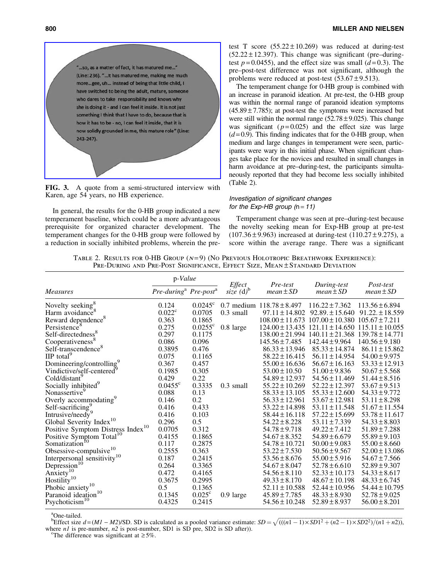

FIG. 3. A quote from a semi-structured interview with Karen, age 54 years, no HB experience.

In general, the results for the 0-HB group indicated a new temperament baseline, which could be a more advantageous prerequisite for organized character development. The temperament changes for the 0-HB group were followed by a reduction in socially inhibited problems, wherein the pretest T score  $(55.22 \pm 10.269)$  was reduced at during-test  $(52.22 \pm 12.397)$ . This change was significant (pre–duringtest  $p = 0.0455$ , and the effect size was small  $(d=0.3)$ . The pre–post-test difference was not significant, although the problems were reduced at post-test  $(53.67 \pm 9.513)$ .

The temperament change for 0-HB group is combined with an increase in paranoid ideation. At pre-test, the 0-HB group was within the normal range of paranoid ideation symptoms  $(45.89 \pm 7.785)$ ; at post-test the symptoms were increased but were still within the normal range  $(52.78 \pm 9.025)$ . This change was significant  $(p=0.025)$  and the effect size was large  $(d=0.9)$ . This finding indicates that for the 0-HB group, when medium and large changes in temperament were seen, participants were wary in this initial phase. When significant changes take place for the novices and resulted in small changes in harm avoidance at pre–during-test, the participants simultaneously reported that they had become less socially inhibited (Table 2).

## Investigation of significant changes for the  $Exp-HB$  group  $(n = 11)$

Temperament change was seen at pre–during-test because the novelty seeking mean for Exp-HB group at pre-test  $(107.36 \pm 9.963)$  increased at during-test  $(110.27 \pm 9.275)$ , a score within the average range. There was a significant

TABLE 2. RESULTS FOR 0-HB GROUP  $(N=9)$  (No Previous Holotropic Breathwork Experience): PRE-DURING AND PRE-POST SIGNIFICANCE, EFFECT SIZE, MEAN ± STANDARD DEVIATION

|                                                                              | p-Value                                       |                  | Effect              | Pre-test                      | During-test                            | Post-test           |
|------------------------------------------------------------------------------|-----------------------------------------------|------------------|---------------------|-------------------------------|----------------------------------------|---------------------|
| <b>Measures</b>                                                              | Pre-during <sup>a</sup> Pre-post <sup>a</sup> |                  | size $(d)^b$        | $mean \pm SD$                 | $mean \pm SD$                          | $mean \pm SD$       |
| Novelty seeking $\frac{8}{3}$                                                | 0.124                                         | $0.0245^{\circ}$ |                     | 0.7 medium $118.78 \pm 8.497$ | $116.22 \pm 7.362$                     | $113.56 \pm 6.894$  |
| Harm avoidance <sup>8</sup>                                                  | 0.022 <sup>c</sup>                            | 0.0705           | $0.3 \text{ small}$ | $97.11 \pm 14.802$            | $92.89 \pm 15.640$                     | $91.22 \pm 18.559$  |
| Reward dependence <sup>8</sup>                                               | 0.363                                         | 0.1865           |                     | $108.00 \pm 11.673$           | $107.00 \pm 10.380$ $105.67 \pm 7.211$ |                     |
| Persistence <sup>8</sup>                                                     | 0.275                                         | $0.0255^{\circ}$ | 0.8 large           | $124.00 \pm 13.435$           | $121.11 \pm 14.650$                    | $115.11 \pm 10.055$ |
| Self-directedness <sup>8</sup>                                               | 0.297                                         | 0.1175           |                     | $138.00 \pm 21.994$           | $140.11 \pm 21.368$                    | $139.78 \pm 14.771$ |
| Cooperativeness <sup>8</sup>                                                 | 0.086                                         | 0.096            |                     | $145.56 \pm 7.485$            | $142.44 \pm 9.964$                     | $140.56 \pm 9.180$  |
| Self-transcendence <sup>8</sup>                                              | 0.3895                                        | 0.476            |                     | $86.33 \pm 13.946$            | $85.33 \pm 14.874$                     | $86.11 \pm 15.862$  |
| $IIP$ total <sup>9</sup>                                                     | 0.075                                         | 0.1165           |                     | $58.22 \pm 16.415$            | $56.11 \pm 14.954$                     | $54.00 \pm 9.975$   |
| Domineering/controlling <sup>9</sup>                                         | 0.367                                         | 0.457            |                     | $55.00 \pm 16.636$            | $56.67 \pm 16.163$                     | $53.33 \pm 12.913$  |
| Vindictive/self-centered <sup>5</sup>                                        | 0.1985                                        | 0.305            |                     | $53.00 \pm 10.50$             | $51.00 \pm 9.836$                      | $50.67 \pm 5.568$   |
| Cold/distant <sup>9</sup>                                                    | 0.429                                         | 0.22             |                     | $54.89 \pm 12.937$            | $54.56 \pm 11.469$                     | $51.44 \pm 8.516$   |
| Socially inhibited <sup>9</sup>                                              | $0.0455^{\circ}$                              | 0.3335           | 0.3 small           | $55.22 \pm 10.269$            | $52.22 \pm 12.397$                     | $53.67 \pm 9.513$   |
| Nonassertive <sup>9</sup>                                                    | 0.088                                         | 0.13             |                     | $58.33 \pm 13.105$            | $55.33 \pm 12.600$                     | $54.33 \pm 9.772$   |
| Overly accommodating <sup>9</sup>                                            | 0.146                                         | 0.2              |                     | $56.33 \pm 12.961$            | $53.67 \pm 12.981$                     | $53.11 \pm 8.298$   |
| Self-sacrificing <sup>9</sup>                                                | 0.416                                         | 0.433            |                     | $53.22 \pm 14.898$            | $53.11 \pm 11.548$                     | $51.67 \pm 11.554$  |
| Intrusive/needy <sup>9</sup>                                                 | 0.416                                         | 0.103            |                     | $58.44 \pm 16.118$            | $57.22 \pm 15.699$                     | $53.78 \pm 11.617$  |
| Global Severity Index <sup>10</sup>                                          | 0.296                                         | 0.5              |                     | $54.22 \pm 8.228$             | $53.11 \pm 7.339$                      | $54.33 \pm 8.803$   |
| Positive Symptom Distress Index <sup>10</sup>                                | 0.0705                                        | 0.312            |                     | $54.78 \pm 9.718$             | $49.22 \pm 7.412$                      | $51.89 \pm 7.288$   |
|                                                                              | 0.4155                                        | 0.1865           |                     | $54.67 \pm 8.352$             | $54.89 \pm 6.679$                      | $55.89 \pm 9.103$   |
| Positive Symptom Total <sup>10</sup><br>Somatization <sup>10</sup>           | 0.117                                         | 0.2875           |                     | $54.78 \pm 10.721$            | $50.00 \pm 9.083$                      | $55.00 \pm 8.660$   |
| Obsessive-compulsive <sup>10</sup>                                           | 0.2555                                        | 0.363            |                     | $53.22 \pm 7.530$             | $50.56 \pm 9.567$                      | $52.00 \pm 13.086$  |
| Interpersonal sensitivity <sup>10</sup>                                      | 0.187                                         | 0.2415           |                     | $53.56 \pm 8.676$             | $55.00 \pm 5.916$                      | $54.67 \pm 7.566$   |
| Depression <sup>10</sup><br>Anxiety <sup>10</sup><br>Hostility <sup>10</sup> | 0.264                                         | 0.3365           |                     | $54.67 \pm 8.047$             | $52.78 \pm 6.610$                      | $52.89 \pm 9.307$   |
|                                                                              | 0.472                                         | 0.4165           |                     | $54.56 \pm 8.110$             | $52.33 \pm 10.173$                     | $54.33 \pm 8.617$   |
|                                                                              | 0.3675                                        | 0.2995           |                     | $49.33 \pm 8.170$             | $48.67 \pm 10.198$                     | $48.33 \pm 6.745$   |
| Phobic anxiety <sup>10</sup>                                                 | 0.5                                           | 0.1365           |                     | $52.11 \pm 10.588$            | $52.44 \pm 10.956$                     | $54.44 \pm 10.795$  |
| Paranoid ideation <sup>10</sup>                                              | 0.1345                                        | $0.025^{\circ}$  | $0.9$ large         | $45.89 \pm 7.785$             | $48.33 \pm 8.930$                      | $52.78 \pm 9.025$   |
| Psychoticism <sup>10</sup>                                                   | 0.4325                                        | 0.2415           |                     | $54.56 \pm 10.248$            | $52.89 \pm 8.937$                      | $56.00 \pm 8.201$   |

<sup>a</sup>One-tailed.

One-taned.<br><sup>b</sup>Effect size  $d = (M1 - M2)/SD$ . SD is calculated as a pooled variance estimate:  $SD = \sqrt{((n1 - 1) \times SD1^2 + (n2 - 1) \times SD2^2)/(n1 + n2)})$ . where  $n_1$  is pre-number,  $n_2$  is post-number, SD1 is SD pre, SD2 is SD after).

The difference was significant at  $\geq 5\%$ .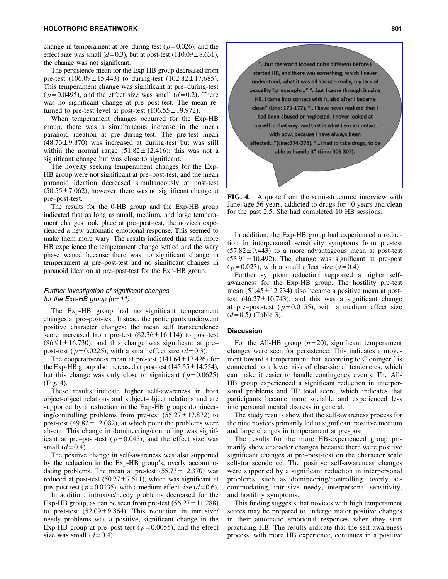change in temperament at pre–during-test ( $p = 0.026$ ), and the effect size was small  $(d=0.3)$ , but at post-test  $(110.09 \pm 8.631)$ , the change was not significant.

The persistence mean for the Exp-HB group decreased from pre-test  $(106.09 \pm 15.443)$  to during-test  $(102.82 \pm 17.685)$ . This temperament change was significant at pre–during-test  $(p=0.0495)$ , and the effect size was small  $(d=0.2)$ . There was no significant change at pre–post-test. The mean returned to pre-test level at post-test  $(106.55 \pm 19.972)$ .

When temperament changes occurred for the Exp-HB group, there was a simultaneous increase in the mean paranoid ideation at pre–during-test. The pre-test mean  $(48.73 \pm 9.870)$  was increased at during-test but was still within the normal range  $(51.82 \pm 12.416)$ ; this was not a significant change but was close to significant.

The novelty seeking temperament changes for the Exp-HB group were not significant at pre–post-test, and the mean paranoid ideation decreased simultaneously at post-test  $(50.55 \pm 7.062)$ ; however, there was no significant change at pre–post-test.

The results for the 0-HB group and the Exp-HB group indicated that as long as small, medium, and large temperament changes took place at pre–post-test, the novices experienced a new automatic emotional response. This seemed to make them more wary. The results indicated that with more HB experience the temperament change settled and the wary phase waned because there was no significant change in temperament at pre–post-test and no significant changes in paranoid ideation at pre–post-test for the Exp-HB group.

#### Further investigation of significant changes for the  $Exp-HB$  group  $(n = 11)$

The Exp-HB group had no significant temperament changes at pre–post-test. Instead, the participants underwent positive character changes; the mean self transcendence score increased from pre-test  $(82.36 \pm 16.114)$  to post-test  $(86.91 \pm 16.730)$ , and this change was significant at pre– post-test ( $p=0.0225$ ), with a small effect size ( $d=0.3$ ).

The cooperativeness mean at pre-test  $(141.64 \pm 17.426)$  for the Exp-HB group also increased at post-test  $(145.55 \pm 14.754)$ , but this change was only close to significant ( $p=0.0625$ ) (Fig. 4).

These results indicate higher self-awareness in both object-object relations and subject-object relations and are supported by a reduction in the Exp-HB groups domineering/controlling problems from pre-test  $(55.27 \pm 17.872)$  to post-test (49.82 $\pm$ 12.082), at which point the problems were absent. This change in domineering/controlling was significant at pre–post-test  $(p=0.045)$ , and the effect size was small  $(d=0.4)$ .

The positive change in self-awareness was also supported by the reduction in the Exp-HB group's, overly accommodating problems. The mean at pre-test  $(55.73 \pm 12.370)$  was reduced at post-test  $(50.27 \pm 7.511)$ , which was significant at pre–post-test ( $p = 0.0135$ ), with a medium effect size ( $d = 0.6$ ).

In addition, intrusive/needy problems decreased for the Exp-HB group, as can be seen from pre-test  $(56.27 \pm 11.288)$ to post-test  $(52.09 \pm 9.864)$ . This reduction in intrusive/ needy problems was a positive, significant change in the Exp-HB group at pre–post-test ( $p = 0.0055$ ), and the effect size was small  $(d=0.4)$ .



FIG. 4. A quote from the semi-structured interview with Jane, age 56 years, addicted to drugs for 40 years and clean for the past 2.5. She had completed 10 HB sessions.

In addition, the Exp-HB group had experienced a reduction in interpersonal sensitivity symptoms from pre-test  $(57.82 \pm 9.443)$  to a more advantageous mean at post-test  $(53.91 \pm 10.492)$ . The change was significant at pre-post  $(p=0.023)$ , with a small effect size  $(d=0.4)$ .

Further symptom reduction supported a higher selfawareness for the Exp-HB group. The hostility pre-test mean  $(51.45 \pm 12.234)$  also became a positive mean at posttest  $(46.27 \pm 10.743)$ , and this was a significant change at pre–post-test  $(p=0.0155)$ , with a medium effect size  $(d=0.5)$  (Table 3).

# **Discussion**

For the All-HB group  $(n=20)$ , significant temperament changes were seen for persistence. This indicates a movement toward a temperament that, according to Cloninger, $\frac{7}{1}$  is connected to a lower risk of obsessional tendencies, which can make it easier to handle contingency events. The All-HB group experienced a significant reduction in interpersonal problems and IIP total score, which indicates that participants became more sociable and experienced less interpersonal mental distress in general.

The study results show that the self-awareness process for the nine novices primarily led to significant positive medium and large changes in temperament at pre-post.

The results for the more HB-experienced group primarily show character changes because there were positive significant changes at pre–post-test on the character scale self-transcendence. The positive self-awareness changes were supported by a significant reduction in interpersonal problems, such as domineering/controlling, overly accommodating, intrusive needy, interpersonal sensitivity, and hostility symptoms.

This finding suggests that novices with high temperament scores may be prepared to undergo major positive changes in their automatic emotional responses when they start practicing HB. The results indicate that the self-awareness process, with more HB experience, continues in a positive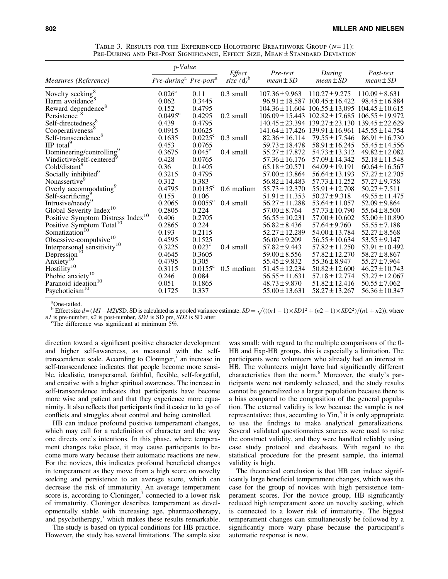|                                                                              | p-Value                                       |                       | Effect              | Pre-test            | During                                                      | Post-test           |
|------------------------------------------------------------------------------|-----------------------------------------------|-----------------------|---------------------|---------------------|-------------------------------------------------------------|---------------------|
| Measures (Reference)                                                         | Pre-during <sup>a</sup> Pre-post <sup>a</sup> |                       | $size(d)^b$         | $mean \pm SD$       | $mean \pm SD$                                               | $mean \pm SD$       |
| Novelty seeking $\frac{8}{9}$                                                | 0.026 <sup>c</sup>                            | 0.11                  | $0.3$ small         | $107.36 \pm 9.963$  | $110.27 \pm 9.275$                                          | $110.09 \pm 8.631$  |
| Harm avoidance <sup>8</sup>                                                  | 0.062                                         | 0.3445                |                     |                     | $96.91 \pm 18.587$ $100.45 \pm 16.422$                      | $98.45 \pm 16.884$  |
| Reward dependence <sup>8</sup><br>Persistence <sup>8</sup>                   | 0.152                                         | 0.4795                |                     |                     | $104.36 \pm 11.604$ $106.55 \pm 13.095$ $104.45 \pm 10.615$ |                     |
| Persistence                                                                  | $0.0495^{\circ}$                              | 0.4295                | $0.2 \text{ small}$ | $106.09 + 15.443$   | $102.82 \pm 17.685$                                         | $106.55 \pm 19.972$ |
| Self-directedness <sup>8</sup>                                               | 0.439                                         | 0.4795                |                     | $140.45 \pm 23.394$ | $139.27 \pm 23.130$                                         | $139.45 \pm 22.629$ |
| Cooperativeness <sup>8</sup>                                                 | 0.0915                                        | 0.0625                |                     |                     | $141.64 \pm 17.426$ $139.91 \pm 16.961$ $145.55 \pm 14.754$ |                     |
| Self-transcendence <sup>8</sup>                                              | 0.1635                                        | $0.0225$ <sup>c</sup> | $0.3 \text{ small}$ | $82.36 \pm 16.114$  | $79.55 \pm 17.546$                                          | $86.91 \pm 16.730$  |
| IIP total $9$                                                                | 0.453                                         | 0.0765                |                     | $59.73 \pm 18.478$  | $58.91 \pm 16.245$                                          | $55.45 \pm 14.556$  |
| Domineering/controlling <sup>9</sup>                                         | 0.3675                                        | $0.045^{\circ}$       | $0.4 \text{ small}$ | $55.27 \pm 17.872$  | $54.73 \pm 13.312$                                          | $49.82 \pm 12.082$  |
| Vindictive/self-centered <sup>9</sup>                                        | 0.428                                         | 0.0765                |                     | $57.36 \pm 16.176$  | $57.09 \pm 14.342$                                          | $52.18 \pm 11.548$  |
| Cold/distant <sup>9</sup>                                                    | 0.36                                          | 0.1405                |                     | $65.18 \pm 20.571$  | $64.09 \pm 19.191$                                          | $60.64 \pm 16.567$  |
| Socially inhibited <sup>9</sup>                                              | 0.3215                                        | 0.4795                |                     | $57.00 \pm 13.864$  | $56.64 \pm 13.193$                                          | $57.27 \pm 12.705$  |
| Nonassertive <sup>9</sup>                                                    | 0.312                                         | 0.383                 |                     | $56.82 \pm 14.483$  | $57.73 \pm 11.252$                                          | $57.27 \pm 9.758$   |
| Overly accommodating <sup>9</sup>                                            | 0.4795                                        | $0.0135^{\circ}$      | $0.6$ medium        | $55.73 \pm 12.370$  | $55.91 \pm 12.708$                                          | $50.27 \pm 7.511$   |
| Self-sacrificing <sup>9</sup>                                                | 0.155                                         | 0.106                 |                     | $51.91 \pm 11.353$  | $50.27 \pm 9.318$                                           | $49.55 \pm 11.475$  |
| Intrusive/needy <sup>9</sup>                                                 | 0.2065                                        | $0.0055^{\circ}$      | $0.4 \text{ small}$ | $56.27 \pm 11.288$  | $53.64 \pm 11.057$                                          | $52.09 \pm 9.864$   |
| Global Severity Index <sup>10</sup>                                          | 0.2805                                        | 0.224                 |                     | $57.00 \pm 8.764$   | $57.73 \pm 10.790$                                          | $55.64 \pm 8.500$   |
| Positive Symptom Distress Index <sup>10</sup>                                | 0.406                                         | 0.2705                |                     | $56.55 \pm 10.231$  | $57.00 \pm 10.602$                                          | $55.00 \pm 10.890$  |
| Positive Symptom Total <sup>10</sup>                                         | 0.2865                                        | 0.224                 |                     | $56.82 \pm 8.436$   | $57.64 \pm 9.760$                                           | $55.55 \pm 7.188$   |
| Somatization <sup>10</sup>                                                   | 0.193                                         | 0.2115                |                     | $52.27 \pm 12.289$  | $54.00 \pm 13.784$                                          | $52.27 \pm 8.568$   |
| Obsessive-compulsive <sup>10</sup>                                           | 0.4595                                        | 0.1525                |                     | $56.00 \pm 9.209$   | $56.55 \pm 10.634$                                          | $53.55 \pm 9.147$   |
| Interpersonal sensitivity <sup>10</sup>                                      | 0.3225                                        | $0.023^{\circ}$       | $0.4 \text{ small}$ | $57.82 \pm 9.443$   | $57.82 \pm 11.250$                                          | $53.91 \pm 10.492$  |
| Depression <sup>10</sup><br>Anxiety <sup>10</sup><br>Hostility <sup>10</sup> | 0.4645                                        | 0.3605                |                     | $59.00 \pm 8.556$   | $57.82 \pm 12.270$                                          | $58.27 \pm 8.867$   |
|                                                                              | 0.4795                                        | 0.305                 |                     | $55.45 \pm 9.832$   | $55.36 \pm 8.947$                                           | $55.27 \pm 7.964$   |
|                                                                              | 0.3115                                        | $0.0155^{\circ}$      | $0.5$ medium        | $51.45 \pm 12.234$  | $50.82 \pm 12.600$                                          | $46.27 \pm 10.743$  |
| Phobic anxiety <sup>10</sup>                                                 | 0.246                                         | 0.084                 |                     | $56.55 \pm 11.631$  | $57.18 \pm 12.774$                                          | $53.27 \pm 12.067$  |
| Paranoid ideation <sup>10</sup>                                              | 0.051                                         | 0.1865                |                     | $48.73 \pm 9.870$   | $51.82 \pm 12.416$                                          | $50.55 \pm 7.062$   |
| Psychoticism <sup>10</sup>                                                   | 0.1725                                        | 0.337                 |                     | $55.00 \pm 13.631$  | $58.27 \pm 13.267$                                          | $56.36 \pm 10.347$  |

TABLE 3. RESULTS FOR THE EXPERIENCED HOLOTROPIC BREATHWORK GROUP  $(N=11)$ : PRE-DURING AND PRE-POST SIGNIFICANCE, EFFECT SIZE, MEAN ± STANDARD DEVIATION

<sup>a</sup>One-tailed.

one-tatied.<br><sup>b</sup> Effect size  $d = (M1 - M2)/SD$ . SD is calculated as a pooled variance estimate:  $SD = \sqrt{((n1 - 1) \times SD1^2 + (n2 - 1) \times SD2^2)/(n1 + n2)})}$ , where  $n1$  is pre-number,  $n2$  is post-number, *SD1* is SD pre, *SD2* is SD after.

The difference was significant at minimum  $5\%$ .

direction toward a significant positive character development and higher self-awareness, as measured with the selftranscendence scale. According to Cloninger,<sup>7</sup> an increase in self-transcendence indicates that people become more sensible, idealistic, transpersonal, faithful, flexible, self-forgetful, and creative with a higher spiritual awareness. The increase in self-transcendence indicates that participants have become more wise and patient and that they experience more equanimity. It also reflects that participants find it easier to let go of conflicts and struggles about control and being controlled.

HB can induce profound positive temperament changes, which may call for a redefinition of character and the way one directs one's intentions. In this phase, where temperament changes take place, it may cause participants to become more wary because their automatic reactions are new. For the novices, this indicates profound beneficial changes in temperament as they move from a high score on novelty seeking and persistence to an average score, which can decrease the risk of immaturity. An average temperament score is, according to Cloninger, $\frac{7}{2}$  connected to a lower risk of immaturity. Cloninger describes temperament as developmentally stable with increasing age, pharmacotherapy, and psychotherapy,<sup>7</sup> which makes these results remarkable.

The study is based on typical conditions for HB practice. However, the study has several limitations. The sample size was small; with regard to the multiple comparisons of the 0- HB and Exp-HB groups, this is especially a limitation. The participants were volunteers who already had an interest in HB. The volunteers might have had significantly different characteristics than the norm.<sup>6</sup> Moreover, the study's participants were not randomly selected, and the study results cannot be generalized to a larger population because there is a bias compared to the composition of the general population. The external validity is low because the sample is not representative; thus, according to  $\text{Yin}$ , it is only appropriate to use the findings to make analytical generalizations. Several validated questionnaires sources were used to raise the construct validity, and they were handled reliably using case study protocol and databases. With regard to the statistical procedure for the present sample, the internal validity is high.

The theoretical conclusion is that HB can induce significantly large beneficial temperament changes, which was the case for the group of novices with high persistence temperament scores. For the novice group, HB significantly reduced high temperament score on novelty seeking, which is connected to a lower risk of immaturity. The biggest temperament changes can simultaneously be followed by a significantly more wary phase because the participant's automatic response is new.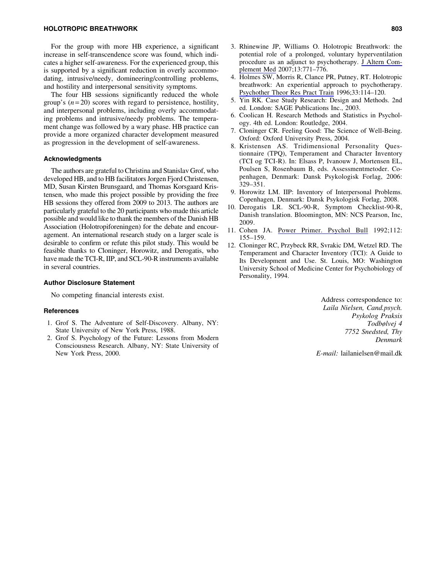## HOLOTROPIC BREATHWORK 803

For the group with more HB experience, a significant increase in self-transcendence score was found, which indicates a higher self-awareness. For the experienced group, this is supported by a significant reduction in overly accommodating, intrusive/needy, domineering/controlling problems, and hostility and interpersonal sensitivity symptoms.

The four HB sessions significantly reduced the whole group's  $(n=20)$  scores with regard to persistence, hostility, and interpersonal problems, including overly accommodating problems and intrusive/needy problems. The temperament change was followed by a wary phase. HB practice can provide a more organized character development measured as progression in the development of self-awareness.

# Acknowledgments

The authors are grateful to Christina and Stanislav Grof, who developed HB, and to HB facilitators Jorgen Fjord Christensen, MD, Susan Kirsten Brunsgaard, and Thomas Korsgaard Kristensen, who made this project possible by providing the free HB sessions they offered from 2009 to 2013. The authors are particularly grateful to the 20 participants who made this article possible and would like to thank the members of the Danish HB Association (Holotropiforeningen) for the debate and encouragement. An international research study on a larger scale is desirable to confirm or refute this pilot study. This would be feasible thanks to Cloninger, Horowitz, and Derogatis, who have made the TCI-R, IIP, and SCL-90-R instruments available in several countries.

# Author Disclosure Statement

No competing financial interests exist.

# **References**

- 1. Grof S. The Adventure of Self-Discovery. Albany, NY: State University of New York Press, 1988.
- 2. Grof S. Psychology of the Future: Lessons from Modern Consciousness Research. Albany, NY: State University of New York Press, 2000.
- 3. Rhinewine JP, Williams O. Holotropic Breathwork: the potential role of a prolonged, voluntary hyperventilation procedure as an adjunct to psychotherapy. [J Altern Com](https://www.liebertpub.com/action/showLinks?system=10.1089%2Facm.2006.6203&citationId=p_29)[plement Med](https://www.liebertpub.com/action/showLinks?system=10.1089%2Facm.2006.6203&citationId=p_29) 2007;13:771–776.
- 4. Holmes SW, Morris R, Clance PR, Putney, RT. Holotropic breathwork: An experiential approach to psychotherapy. [Psychother Theor Res Pract Train](https://www.liebertpub.com/action/showLinks?crossref=10.1037%2F0033-3204.33.1.114&citationId=p_30) 1996;33:114–120.
- 5. Yin RK. Case Study Research: Design and Methods. 2nd ed. London: SAGE Publications Inc., 2003.
- 6. Coolican H. Research Methods and Statistics in Psychology. 4th ed. London: Routledge, 2004.
- 7. Cloninger CR. Feeling Good: The Science of Well-Being. Oxford: Oxford University Press, 2004.
- 8. Kristensen AS. Tridimensional Personality Questionnaire (TPQ), Temperament and Character Inventory (TCI og TCI-R). In: Elsass P, Ivanouw J, Mortensen EL, Poulsen S, Rosenbaum B, eds. Assessmentmetoder. Copenhagen, Denmark: Dansk Psykologisk Forlag, 2006: 329–351.
- 9. Horowitz LM. IIP: Inventory of Interpersonal Problems. Copenhagen, Denmark: Dansk Psykologisk Forlag, 2008.
- 10. Derogatis LR. SCL-90-R, Symptom Checklist-90-R, Danish translation. Bloomington, MN: NCS Pearson, Inc, 2009.
- 11. Cohen JA. [Power Primer. Psychol Bull](https://www.liebertpub.com/action/showLinks?pmid=19565683&crossref=10.1037%2F%2F0033-2909.112.1.155&citationId=p_37) 1992;112: 155–159.
- 12. Cloninger RC, Przybeck RR, Svrakic DM, Wetzel RD. The Temperament and Character Inventory (TCI): A Guide to Its Development and Use. St. Louis, MO: Washington University School of Medicine Center for Psychobiology of Personality, 1994.

Address correspondence to: *Laila Nielsen, Cand.psych. Psykolog Praksis Todbølvej 4 7752 Snedsted, Thy Denmark*

*E-mail:* lailanielsen@mail.dk